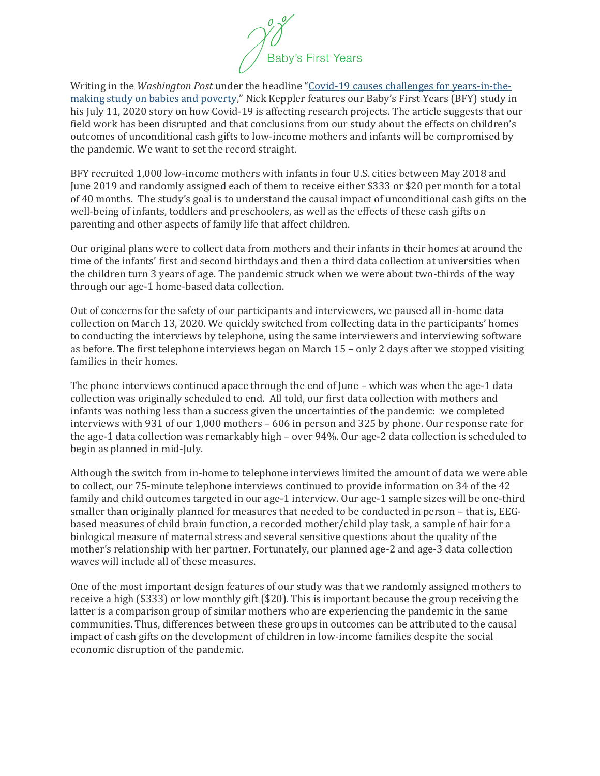$\begin{matrix} 0 \\ 0 \end{matrix}$  Baby's First Years

Writing in the *Washington Post* under the headline "[Covid-19 causes challenges for](https://www.washingtonpost.com/health/covid-19-upends-major-years-in-the-making-study-on-babies-and-poverty/2020/07/10/6e55176a-b0cd-11ea-8758-bfd1d045525a_story.html) years-in-the[making study on babies and poverty](https://www.washingtonpost.com/health/covid-19-upends-major-years-in-the-making-study-on-babies-and-poverty/2020/07/10/6e55176a-b0cd-11ea-8758-bfd1d045525a_story.html)," Nick Keppler features our Baby's First Years (BFY) study in his July 11, 2020 story on how Covid-19 is affecting research projects. The article suggests that our field work has been disrupted and that conclusions from our study about the effects on children's outcomes of unconditional cash gifts to low-income mothers and infants will be compromised by the pandemic. We want to set the record straight.

BFY recruited 1,000 low-income mothers with infants in four U.S. cities between May 2018 and June 2019 and randomly assigned each of them to receive either \$333 or \$20 per month for a total of 40 months. The study's goal is to understand the causal impact of unconditional cash gifts on the well-being of infants, toddlers and preschoolers, as well as the effects of these cash gifts on parenting and other aspects of family life that affect children.

Our original plans were to collect data from mothers and their infants in their homes at around the time of the infants' first and second birthdays and then a third data collection at universities when the children turn 3 years of age. The pandemic struck when we were about two-thirds of the way through our age-1 home-based data collection.

Out of concerns for the safety of our participants and interviewers, we paused all in-home data collection on March 13, 2020. We quickly switched from collecting data in the participants' homes to conducting the interviews by telephone, using the same interviewers and interviewing software as before. The first telephone interviews began on March 15 – only 2 days after we stopped visiting families in their homes.

The phone interviews continued apace through the end of June – which was when the age-1 data collection was originally scheduled to end. All told, our first data collection with mothers and infants was nothing less than a success given the uncertainties of the pandemic: we completed interviews with 931 of our 1,000 mothers – 606 in person and 325 by phone. Our response rate for the age-1 data collection was remarkably high – over 94%. Our age-2 data collection is scheduled to begin as planned in mid-July.

Although the switch from in-home to telephone interviews limited the amount of data we were able to collect, our 75-minute telephone interviews continued to provide information on 34 of the 42 family and child outcomes targeted in our age-1 interview. Our age-1 sample sizes will be one-third smaller than originally planned for measures that needed to be conducted in person – that is, EEGbased measures of child brain function, a recorded mother/child play task, a sample of hair for a biological measure of maternal stress and several sensitive questions about the quality of the mother's relationship with her partner. Fortunately, our planned age-2 and age-3 data collection waves will include all of these measures.

One of the most important design features of our study was that we randomly assigned mothers to receive a high (\$333) or low monthly gift (\$20). This is important because the group receiving the latter is a comparison group of similar mothers who are experiencing the pandemic in the same communities. Thus, differences between these groups in outcomes can be attributed to the causal impact of cash gifts on the development of children in low-income families despite the social economic disruption of the pandemic.